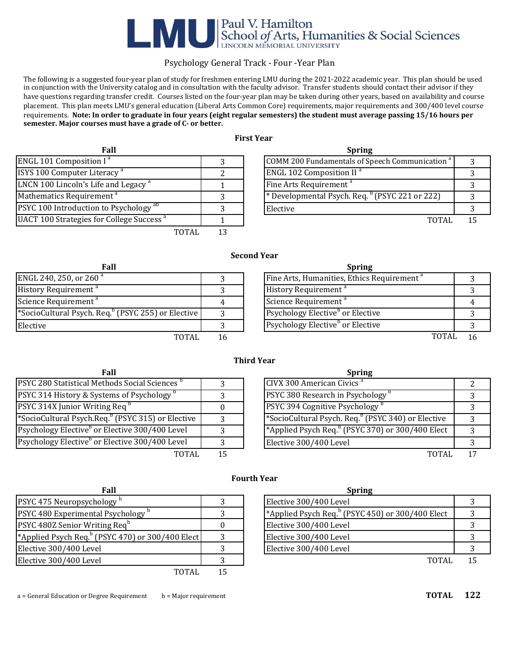# Paul V. Hamilton<br>School of Arts, Humanities & Social Sciences<br>LINCOLN MEMORIAL UNIVERSITY

# Psychology General Track - Four -Year Plan

)<br>The following is a suggested four-year plan of study for freshmen entering LMU during the 2021-2022 academic year. This plan should be used in conjunction with the University catalog and in consultation with the faculty advisor. Transfer students should contact their advisor if they have questions regarding transfer credit. Courses listed on the four-year plan may be taken during other years, based on availability and course placement. This plan meets LMU's general education (Liberal Arts Common Core) requirements, major requirements and 300/400 level course requirements. Note: In order to graduate in four years (eight regular semesters) the student must average passing 15/16 hours per semester. Major courses must have a grade of C- or better.

## **First Year**

| Fall                                                     |    | <b>Spring</b>                                                         |    |
|----------------------------------------------------------|----|-----------------------------------------------------------------------|----|
| <b>ENGL 101 Composition I<sup>a</sup></b>                |    | COMM 200 Fundamentals of Speech Communication <sup>a</sup>            |    |
| <b>ISYS 100 Computer Literacy</b> <sup>a</sup>           |    | <b>ENGL 102 Composition II<sup>a</sup></b>                            |    |
| LNCN 100 Lincoln's Life and Legacy <sup>a</sup>          |    | Fine Arts Requirement <sup>a</sup>                                    |    |
| Mathematics Requirement <sup>a</sup>                     |    | <sup>*</sup> Developmental Psych. Req. <sup>b</sup> (PSYC 221 or 222) |    |
| <b>PSYC 100 Introduction to Psychology</b> <sup>ab</sup> |    | <b>IElective</b>                                                      |    |
| UACT 100 Strategies for College Success <sup>a</sup>     |    | <b>TOTAL</b>                                                          | 15 |
| TOTAL                                                    | 13 |                                                                       |    |

**Second Year**

| Fall                                                           | <b>Spring</b>                                          |                |
|----------------------------------------------------------------|--------------------------------------------------------|----------------|
| ENGL 240, 250, or 260 <sup>a</sup>                             | Fine Arts, Humanities, Ethics Requirement <sup>a</sup> |                |
| History Requirement <sup>a</sup>                               | History Requirement <sup>a</sup>                       |                |
| Science Requirement <sup>a</sup>                               | Science Requirement <sup>®</sup>                       | 4              |
| *SocioCultural Psych. Req. <sup>b</sup> (PSYC 255) or Elective | <b>Psychology Elective</b> or Elective                 |                |
| Elective                                                       | <b>Psychology Elective</b> <sup>b</sup> or Elective    |                |
| TOTAL                                                          | TOTAL                                                  | 1 <sub>0</sub> |

|         | <b>Spring</b>                                          |  |
|---------|--------------------------------------------------------|--|
|         | Fine Arts, Humanities, Ethics Requirement <sup>a</sup> |  |
|         | History Requirement <sup>a</sup>                       |  |
|         | Science Requirement <sup>a</sup>                       |  |
| lective | Psychology Elective <sup>b</sup> or Elective           |  |
|         | Psychology Elective <sup>b</sup> or Elective           |  |
| TOTAL   | <b>TOTAI</b>                                           |  |

| Fall                                                          | <b>Spring</b>                                                  |               |
|---------------------------------------------------------------|----------------------------------------------------------------|---------------|
| PSYC 280 Statistical Methods Social Sciences <sup>b</sup>     | CIVX 300 American Civics <sup>a</sup>                          |               |
| PSYC 314 History & Systems of Psychology <sup>b</sup>         | PSYC 380 Research in Psychology <sup>1</sup>                   |               |
| PSYC 314X Junior Writing Req <sup>b</sup>                     | PSYC 394 Cognitive Psychology                                  |               |
| *SocioCultural Psych.Req. <sup>b</sup> (PSYC 315) or Elective | *SocioCultural Psych. Req. <sup>b</sup> (PSYC 340) or Elective | $\mathcal{R}$ |
| Psychology Elective <sup>b</sup> or Elective 300/400 Level    | *Applied Psych Req. <sup>b</sup> (PSYC 370) or 300/400 Elect   | -3            |
| Psychology Elective <sup>b</sup> or Elective 300/400 Level    | Elective 300/400 Level                                         |               |
| TOTAL                                                         | TOTAL                                                          | $1^{\circ}$   |

### **Third Year**

**Fourth Year**

| Fall                                 |    | <b>Spring</b>                                                  |  |
|--------------------------------------|----|----------------------------------------------------------------|--|
| Methods Social Sciences <sup>p</sup> |    | CIVX 300 American Civics <sup>a</sup>                          |  |
| Systems of Psychology <sup>b</sup>   |    | PSYC 380 Research in Psychology <sup>1</sup>                   |  |
| riting Req                           |    | PSYC 394 Cognitive Psychology <sup>t</sup>                     |  |
| .Req. $^{b}$ (PSYC 315) or Elective  |    | *SocioCultural Psych. Req. <sup>b</sup> (PSYC 340) or Elective |  |
| or Elective 300/400 Level            | ς  | *Applied Psych Req. <sup>b</sup> (PSYC 370) or 300/400 Elect   |  |
| or Elective 300/400 Level            |    | Elective 300/400 Level                                         |  |
| TOTAL                                | 15 | <b>TOTAL</b>                                                   |  |

| Fall                                            |     | <b>Spring</b>                                                            |    |
|-------------------------------------------------|-----|--------------------------------------------------------------------------|----|
| PSYC 475 Neuropsychology                        |     | Elective 300/400 Level                                                   |    |
| PSYC 480 Experimental Psychology <sup>b</sup>   |     | <sup>*</sup> Applied Psych Req. <sup>b</sup> (PSYC 450) or 300/400 Elect |    |
| PSYC 480Z Senior Writing Req <sup>b</sup>       |     | Elective 300/400 Level                                                   |    |
| *Applied Psych Req. (PSYC 470) or 300/400 Elect |     | Elective 300/400 Level                                                   |    |
| Elective 300/400 Level                          |     | Elective 300/400 Level                                                   |    |
| Elective 300/400 Level                          |     | <b>TOTAL</b>                                                             | 15 |
| <b>TOTAL</b>                                    | 1 F |                                                                          |    |

# TOTAL 15

a = General Education or Degree Requirement  $\qquad b$  = Major requirement **TOTAL 122** 

| hology                      | Elective 300/400 Level                                                   |  |
|-----------------------------|--------------------------------------------------------------------------|--|
| tal Psychology <sup>b</sup> | <sup>*</sup> Applied Psych Req. <sup>b</sup> (PSYC 450) or 300/400 Elect |  |
| riting Req <sup>b</sup>     | Elective 300/400 Level                                                   |  |
| (PSYC 470) or 300/400 Elect | Elective 300/400 Level                                                   |  |
| zel                         | Elective 300/400 Level                                                   |  |
| zel                         | <b>TOTAL</b>                                                             |  |